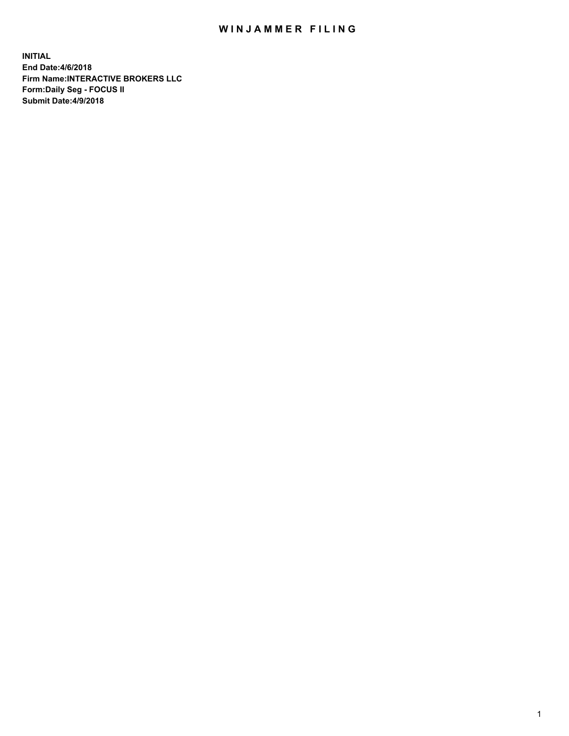## WIN JAMMER FILING

**INITIAL End Date:4/6/2018 Firm Name:INTERACTIVE BROKERS LLC Form:Daily Seg - FOCUS II Submit Date:4/9/2018**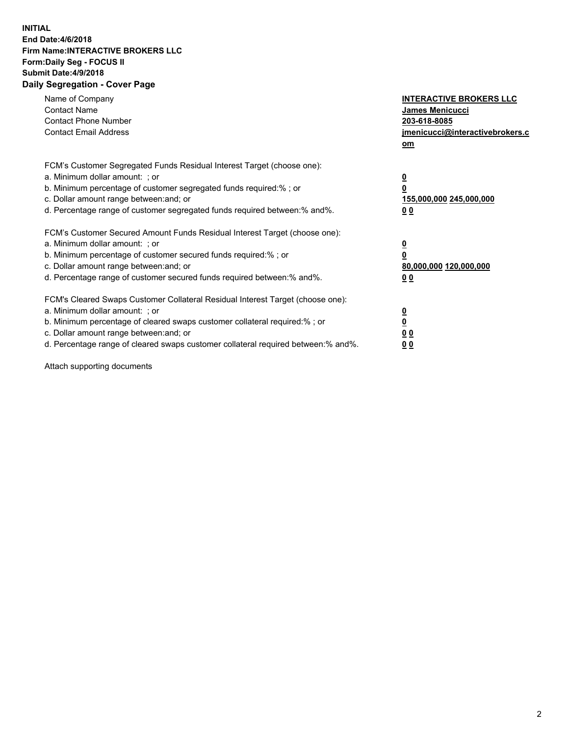## **INITIAL End Date:4/6/2018 Firm Name:INTERACTIVE BROKERS LLC Form:Daily Seg - FOCUS II Submit Date:4/9/2018 Daily Segregation - Cover Page**

| Name of Company<br><b>Contact Name</b><br><b>Contact Phone Number</b><br><b>Contact Email Address</b>                                                                                                                                                                                                                          | <b>INTERACTIVE BROKERS LLC</b><br>James Menicucci<br>203-618-8085<br>jmenicucci@interactivebrokers.c<br>om |
|--------------------------------------------------------------------------------------------------------------------------------------------------------------------------------------------------------------------------------------------------------------------------------------------------------------------------------|------------------------------------------------------------------------------------------------------------|
| FCM's Customer Segregated Funds Residual Interest Target (choose one):<br>a. Minimum dollar amount: ; or<br>b. Minimum percentage of customer segregated funds required:%; or<br>c. Dollar amount range between: and; or<br>d. Percentage range of customer segregated funds required between:% and%.                          | $\overline{\mathbf{0}}$<br>$\overline{\mathbf{0}}$<br>155,000,000 245,000,000<br>00                        |
| FCM's Customer Secured Amount Funds Residual Interest Target (choose one):<br>a. Minimum dollar amount: ; or<br>b. Minimum percentage of customer secured funds required:%; or<br>c. Dollar amount range between: and; or<br>d. Percentage range of customer secured funds required between: % and %.                          | $\overline{\mathbf{0}}$<br>0<br>80,000,000 120,000,000<br>00                                               |
| FCM's Cleared Swaps Customer Collateral Residual Interest Target (choose one):<br>a. Minimum dollar amount: ; or<br>b. Minimum percentage of cleared swaps customer collateral required:% ; or<br>c. Dollar amount range between: and; or<br>d. Percentage range of cleared swaps customer collateral required between:% and%. | $\overline{\mathbf{0}}$<br>$\underline{\mathbf{0}}$<br>0 <sub>0</sub><br>0 <sub>0</sub>                    |

Attach supporting documents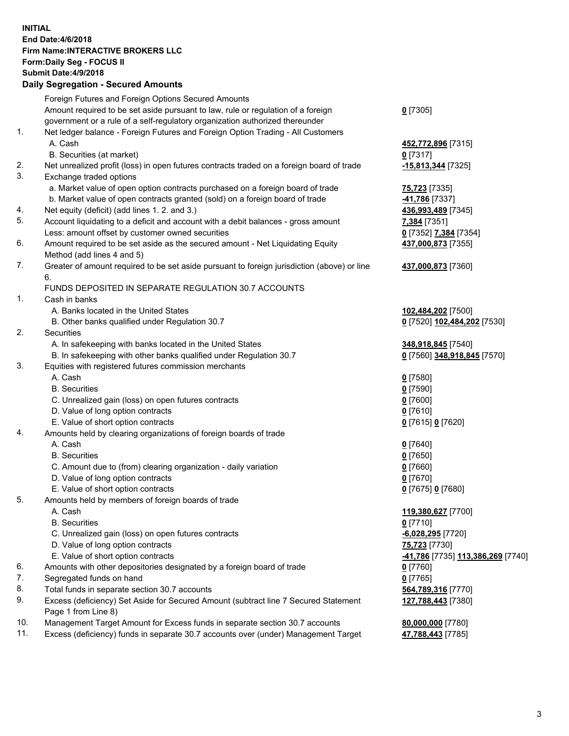## **INITIAL End Date:4/6/2018 Firm Name:INTERACTIVE BROKERS LLC Form:Daily Seg - FOCUS II Submit Date:4/9/2018 Daily Segregation - Secured Amounts**

|     | Foreign Futures and Foreign Options Secured Amounts                                         |                                                |
|-----|---------------------------------------------------------------------------------------------|------------------------------------------------|
|     | Amount required to be set aside pursuant to law, rule or regulation of a foreign            | $0$ [7305]                                     |
|     | government or a rule of a self-regulatory organization authorized thereunder                |                                                |
| 1.  | Net ledger balance - Foreign Futures and Foreign Option Trading - All Customers             |                                                |
|     | A. Cash                                                                                     | 452,772,896 [7315]                             |
|     | B. Securities (at market)                                                                   | $0$ [7317]                                     |
| 2.  | Net unrealized profit (loss) in open futures contracts traded on a foreign board of trade   | -15,813,344 [7325]                             |
| 3.  | Exchange traded options                                                                     |                                                |
|     | a. Market value of open option contracts purchased on a foreign board of trade              | 75,723 [7335]                                  |
|     | b. Market value of open contracts granted (sold) on a foreign board of trade                | -41,786 [7337]                                 |
| 4.  | Net equity (deficit) (add lines 1.2. and 3.)                                                | 436,993,489 [7345]                             |
| 5.  | Account liquidating to a deficit and account with a debit balances - gross amount           | 7,384 [7351]                                   |
|     | Less: amount offset by customer owned securities                                            | 0 [7352] 7,384 [7354]                          |
| 6.  | Amount required to be set aside as the secured amount - Net Liquidating Equity              | 437,000,873 [7355]                             |
|     | Method (add lines 4 and 5)                                                                  |                                                |
| 7.  | Greater of amount required to be set aside pursuant to foreign jurisdiction (above) or line | 437,000,873 [7360]                             |
|     |                                                                                             |                                                |
|     | 6.                                                                                          |                                                |
|     | FUNDS DEPOSITED IN SEPARATE REGULATION 30.7 ACCOUNTS                                        |                                                |
| 1.  | Cash in banks                                                                               |                                                |
|     | A. Banks located in the United States                                                       | 102,484,202 [7500]                             |
|     | B. Other banks qualified under Regulation 30.7                                              | 0 [7520] 102,484,202 [7530]                    |
| 2.  | Securities                                                                                  |                                                |
|     | A. In safekeeping with banks located in the United States                                   | 348,918,845 [7540]                             |
|     | B. In safekeeping with other banks qualified under Regulation 30.7                          | 0 [7560] 348,918,845 [7570]                    |
| 3.  | Equities with registered futures commission merchants                                       |                                                |
|     | A. Cash                                                                                     | $0$ [7580]                                     |
|     | <b>B.</b> Securities                                                                        | $0$ [7590]                                     |
|     | C. Unrealized gain (loss) on open futures contracts                                         | $0$ [7600]                                     |
|     | D. Value of long option contracts                                                           | $0$ [7610]                                     |
|     | E. Value of short option contracts                                                          | 0 [7615] 0 [7620]                              |
| 4.  | Amounts held by clearing organizations of foreign boards of trade                           |                                                |
|     | A. Cash                                                                                     | $0$ [7640]                                     |
|     | <b>B.</b> Securities                                                                        | $0$ [7650]                                     |
|     | C. Amount due to (from) clearing organization - daily variation                             | $0$ [7660]                                     |
|     | D. Value of long option contracts                                                           | $0$ [7670]                                     |
|     | E. Value of short option contracts                                                          | 0 [7675] 0 [7680]                              |
| 5.  | Amounts held by members of foreign boards of trade                                          |                                                |
|     | A. Cash                                                                                     | 119,380,627 [7700]                             |
|     | <b>B.</b> Securities                                                                        | $0$ [7710]                                     |
|     | C. Unrealized gain (loss) on open futures contracts                                         | -6,028,295 [7720]                              |
|     | D. Value of long option contracts                                                           | 75,723 [7730]                                  |
|     | E. Value of short option contracts                                                          | <mark>-41,786</mark> [7735] 113,386,269 [7740] |
| 6.  | Amounts with other depositories designated by a foreign board of trade                      | $0$ [7760]                                     |
| 7.  | Segregated funds on hand                                                                    | $0$ [7765]                                     |
| 8.  | Total funds in separate section 30.7 accounts                                               | 564,789,316 [7770]                             |
| 9.  | Excess (deficiency) Set Aside for Secured Amount (subtract line 7 Secured Statement         | 127,788,443 [7380]                             |
|     | Page 1 from Line 8)                                                                         |                                                |
| 10. | Management Target Amount for Excess funds in separate section 30.7 accounts                 | 80,000,000 [7780]                              |
| 11. | Excess (deficiency) funds in separate 30.7 accounts over (under) Management Target          | 47,788,443 [7785]                              |
|     |                                                                                             |                                                |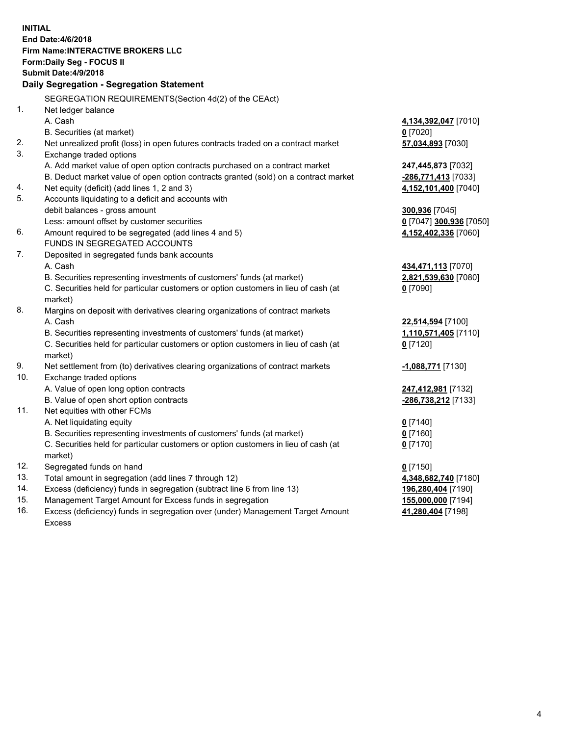**INITIAL End Date:4/6/2018 Firm Name:INTERACTIVE BROKERS LLC Form:Daily Seg - FOCUS II Submit Date:4/9/2018 Daily Segregation - Segregation Statement** SEGREGATION REQUIREMENTS(Section 4d(2) of the CEAct) 1. Net ledger balance A. Cash **4,134,392,047** [7010] B. Securities (at market) **0** [7020] 2. Net unrealized profit (loss) in open futures contracts traded on a contract market **57,034,893** [7030] 3. Exchange traded options A. Add market value of open option contracts purchased on a contract market **247,445,873** [7032] B. Deduct market value of open option contracts granted (sold) on a contract market **-286,771,413** [7033] 4. Net equity (deficit) (add lines 1, 2 and 3) **4,152,101,400** [7040] 5. Accounts liquidating to a deficit and accounts with debit balances - gross amount **300,936** [7045] Less: amount offset by customer securities **0** [7047] **300,936** [7050] 6. Amount required to be segregated (add lines 4 and 5) **4,152,402,336** [7060] FUNDS IN SEGREGATED ACCOUNTS 7. Deposited in segregated funds bank accounts A. Cash **434,471,113** [7070] B. Securities representing investments of customers' funds (at market) **2,821,539,630** [7080] C. Securities held for particular customers or option customers in lieu of cash (at market) **0** [7090] 8. Margins on deposit with derivatives clearing organizations of contract markets A. Cash **22,514,594** [7100] B. Securities representing investments of customers' funds (at market) **1,110,571,405** [7110] C. Securities held for particular customers or option customers in lieu of cash (at market) **0** [7120] 9. Net settlement from (to) derivatives clearing organizations of contract markets **-1,088,771** [7130] 10. Exchange traded options A. Value of open long option contracts **247,412,981** [7132] B. Value of open short option contracts **-286,738,212** [7133] 11. Net equities with other FCMs A. Net liquidating equity **0** [7140] B. Securities representing investments of customers' funds (at market) **0** [7160] C. Securities held for particular customers or option customers in lieu of cash (at market) **0** [7170] 12. Segregated funds on hand **0** [7150] 13. Total amount in segregation (add lines 7 through 12) **4,348,682,740** [7180] 14. Excess (deficiency) funds in segregation (subtract line 6 from line 13) **196,280,404** [7190] 15. Management Target Amount for Excess funds in segregation **155,000,000** [7194] **41,280,404** [7198]

16. Excess (deficiency) funds in segregation over (under) Management Target Amount Excess